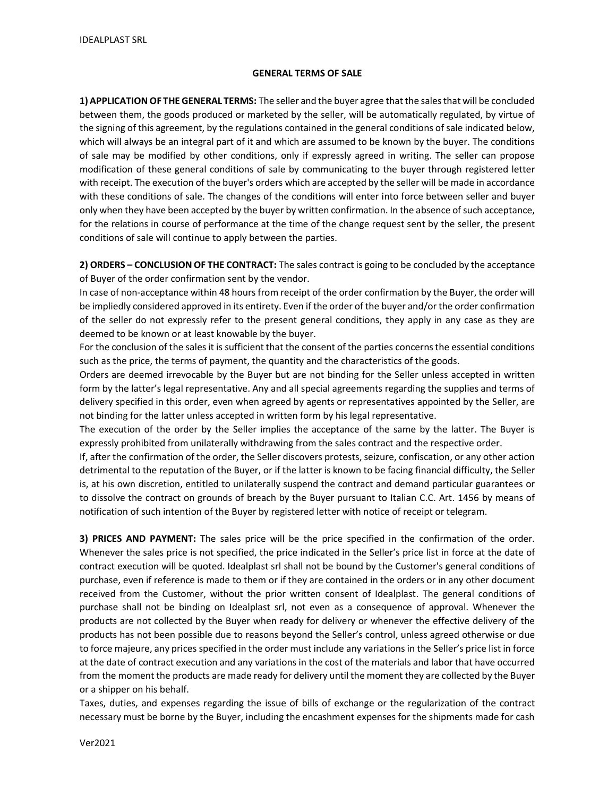## GENERAL TERMS OF SALE

1) APPLICATION OF THE GENERAL TERMS: The seller and the buyer agree that the sales that will be concluded between them, the goods produced or marketed by the seller, will be automatically regulated, by virtue of the signing of this agreement, by the regulations contained in the general conditions of sale indicated below, which will always be an integral part of it and which are assumed to be known by the buyer. The conditions of sale may be modified by other conditions, only if expressly agreed in writing. The seller can propose modification of these general conditions of sale by communicating to the buyer through registered letter with receipt. The execution of the buyer's orders which are accepted by the seller will be made in accordance with these conditions of sale. The changes of the conditions will enter into force between seller and buyer only when they have been accepted by the buyer by written confirmation. In the absence of such acceptance, for the relations in course of performance at the time of the change request sent by the seller, the present conditions of sale will continue to apply between the parties.

2) ORDERS – CONCLUSION OF THE CONTRACT: The sales contract is going to be concluded by the acceptance of Buyer of the order confirmation sent by the vendor.

In case of non-acceptance within 48 hours from receipt of the order confirmation by the Buyer, the order will be impliedly considered approved in its entirety. Even if the order of the buyer and/or the order confirmation of the seller do not expressly refer to the present general conditions, they apply in any case as they are deemed to be known or at least knowable by the buyer.

For the conclusion of the sales it is sufficient that the consent of the parties concerns the essential conditions such as the price, the terms of payment, the quantity and the characteristics of the goods.

Orders are deemed irrevocable by the Buyer but are not binding for the Seller unless accepted in written form by the latter's legal representative. Any and all special agreements regarding the supplies and terms of delivery specified in this order, even when agreed by agents or representatives appointed by the Seller, are not binding for the latter unless accepted in written form by his legal representative.

The execution of the order by the Seller implies the acceptance of the same by the latter. The Buyer is expressly prohibited from unilaterally withdrawing from the sales contract and the respective order.

If, after the confirmation of the order, the Seller discovers protests, seizure, confiscation, or any other action detrimental to the reputation of the Buyer, or if the latter is known to be facing financial difficulty, the Seller is, at his own discretion, entitled to unilaterally suspend the contract and demand particular guarantees or to dissolve the contract on grounds of breach by the Buyer pursuant to Italian C.C. Art. 1456 by means of notification of such intention of the Buyer by registered letter with notice of receipt or telegram.

3) PRICES AND PAYMENT: The sales price will be the price specified in the confirmation of the order. Whenever the sales price is not specified, the price indicated in the Seller's price list in force at the date of contract execution will be quoted. Idealplast srl shall not be bound by the Customer's general conditions of purchase, even if reference is made to them or if they are contained in the orders or in any other document received from the Customer, without the prior written consent of Idealplast. The general conditions of purchase shall not be binding on Idealplast srl, not even as a consequence of approval. Whenever the products are not collected by the Buyer when ready for delivery or whenever the effective delivery of the products has not been possible due to reasons beyond the Seller's control, unless agreed otherwise or due to force majeure, any prices specified in the order must include any variations in the Seller's price list in force at the date of contract execution and any variations in the cost of the materials and labor that have occurred from the moment the products are made ready for delivery until the moment they are collected by the Buyer or a shipper on his behalf.

Taxes, duties, and expenses regarding the issue of bills of exchange or the regularization of the contract necessary must be borne by the Buyer, including the encashment expenses for the shipments made for cash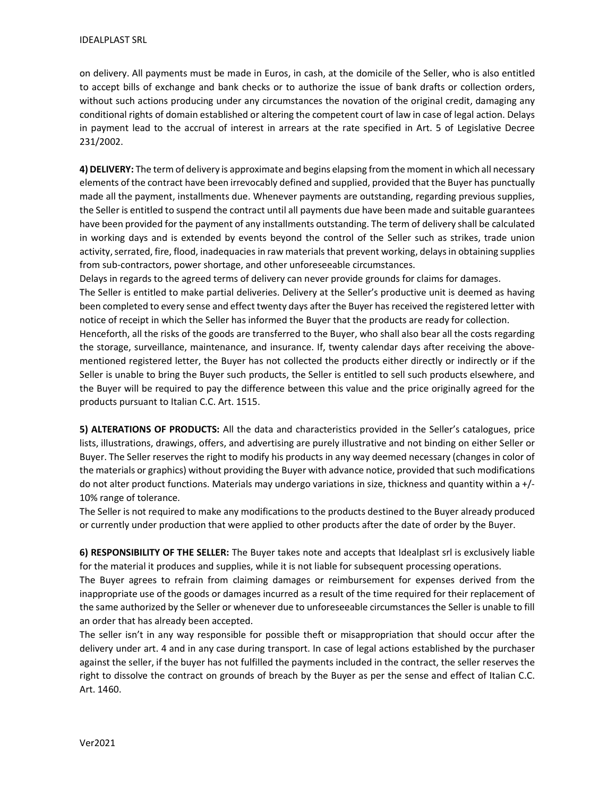on delivery. All payments must be made in Euros, in cash, at the domicile of the Seller, who is also entitled to accept bills of exchange and bank checks or to authorize the issue of bank drafts or collection orders, without such actions producing under any circumstances the novation of the original credit, damaging any conditional rights of domain established or altering the competent court of law in case of legal action. Delays in payment lead to the accrual of interest in arrears at the rate specified in Art. 5 of Legislative Decree 231/2002.

4) DELIVERY: The term of delivery is approximate and begins elapsing from the moment in which all necessary elements of the contract have been irrevocably defined and supplied, provided that the Buyer has punctually made all the payment, installments due. Whenever payments are outstanding, regarding previous supplies, the Seller is entitled to suspend the contract until all payments due have been made and suitable guarantees have been provided for the payment of any installments outstanding. The term of delivery shall be calculated in working days and is extended by events beyond the control of the Seller such as strikes, trade union activity, serrated, fire, flood, inadequacies in raw materials that prevent working, delays in obtaining supplies from sub-contractors, power shortage, and other unforeseeable circumstances.

Delays in regards to the agreed terms of delivery can never provide grounds for claims for damages. The Seller is entitled to make partial deliveries. Delivery at the Seller's productive unit is deemed as having been completed to every sense and effect twenty days after the Buyer has received the registered letter with notice of receipt in which the Seller has informed the Buyer that the products are ready for collection.

Henceforth, all the risks of the goods are transferred to the Buyer, who shall also bear all the costs regarding the storage, surveillance, maintenance, and insurance. If, twenty calendar days after receiving the abovementioned registered letter, the Buyer has not collected the products either directly or indirectly or if the Seller is unable to bring the Buyer such products, the Seller is entitled to sell such products elsewhere, and the Buyer will be required to pay the difference between this value and the price originally agreed for the products pursuant to Italian C.C. Art. 1515.

5) ALTERATIONS OF PRODUCTS: All the data and characteristics provided in the Seller's catalogues, price lists, illustrations, drawings, offers, and advertising are purely illustrative and not binding on either Seller or Buyer. The Seller reserves the right to modify his products in any way deemed necessary (changes in color of the materials or graphics) without providing the Buyer with advance notice, provided that such modifications do not alter product functions. Materials may undergo variations in size, thickness and quantity within a +/- 10% range of tolerance.

The Seller is not required to make any modifications to the products destined to the Buyer already produced or currently under production that were applied to other products after the date of order by the Buyer.

6) RESPONSIBILITY OF THE SELLER: The Buyer takes note and accepts that Idealplast srl is exclusively liable for the material it produces and supplies, while it is not liable for subsequent processing operations.

The Buyer agrees to refrain from claiming damages or reimbursement for expenses derived from the inappropriate use of the goods or damages incurred as a result of the time required for their replacement of the same authorized by the Seller or whenever due to unforeseeable circumstances the Seller is unable to fill an order that has already been accepted.

The seller isn't in any way responsible for possible theft or misappropriation that should occur after the delivery under art. 4 and in any case during transport. In case of legal actions established by the purchaser against the seller, if the buyer has not fulfilled the payments included in the contract, the seller reserves the right to dissolve the contract on grounds of breach by the Buyer as per the sense and effect of Italian C.C. Art. 1460.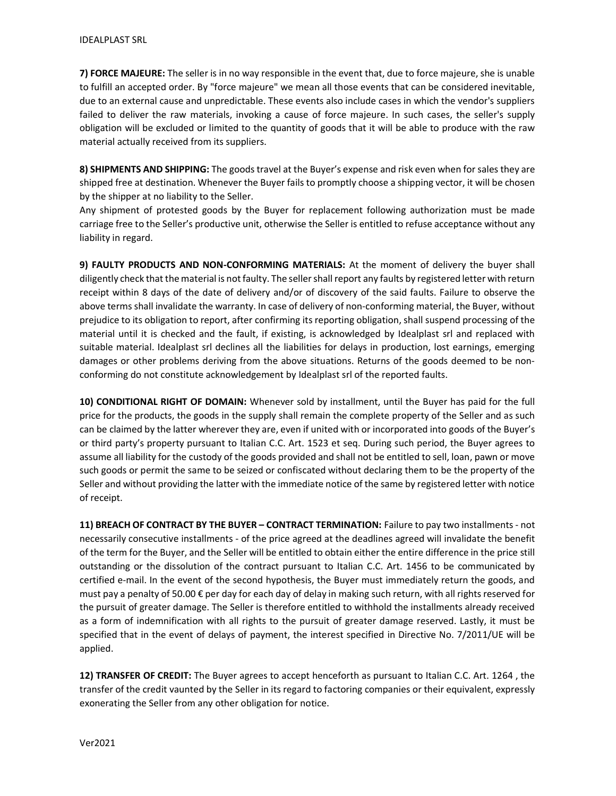7) FORCE MAJEURE: The seller is in no way responsible in the event that, due to force majeure, she is unable to fulfill an accepted order. By "force majeure" we mean all those events that can be considered inevitable, due to an external cause and unpredictable. These events also include cases in which the vendor's suppliers failed to deliver the raw materials, invoking a cause of force majeure. In such cases, the seller's supply obligation will be excluded or limited to the quantity of goods that it will be able to produce with the raw material actually received from its suppliers.

8) SHIPMENTS AND SHIPPING: The goods travel at the Buyer's expense and risk even when for sales they are shipped free at destination. Whenever the Buyer fails to promptly choose a shipping vector, it will be chosen by the shipper at no liability to the Seller.

Any shipment of protested goods by the Buyer for replacement following authorization must be made carriage free to the Seller's productive unit, otherwise the Seller is entitled to refuse acceptance without any liability in regard.

9) FAULTY PRODUCTS AND NON-CONFORMING MATERIALS: At the moment of delivery the buyer shall diligently check that the material is not faulty. The seller shall report any faults by registered letter with return receipt within 8 days of the date of delivery and/or of discovery of the said faults. Failure to observe the above terms shall invalidate the warranty. In case of delivery of non-conforming material, the Buyer, without prejudice to its obligation to report, after confirming its reporting obligation, shall suspend processing of the material until it is checked and the fault, if existing, is acknowledged by Idealplast srl and replaced with suitable material. Idealplast srl declines all the liabilities for delays in production, lost earnings, emerging damages or other problems deriving from the above situations. Returns of the goods deemed to be nonconforming do not constitute acknowledgement by Idealplast srl of the reported faults.

10) CONDITIONAL RIGHT OF DOMAIN: Whenever sold by installment, until the Buyer has paid for the full price for the products, the goods in the supply shall remain the complete property of the Seller and as such can be claimed by the latter wherever they are, even if united with or incorporated into goods of the Buyer's or third party's property pursuant to Italian C.C. Art. 1523 et seq. During such period, the Buyer agrees to assume all liability for the custody of the goods provided and shall not be entitled to sell, loan, pawn or move such goods or permit the same to be seized or confiscated without declaring them to be the property of the Seller and without providing the latter with the immediate notice of the same by registered letter with notice of receipt.

11) BREACH OF CONTRACT BY THE BUYER – CONTRACT TERMINATION: Failure to pay two installments - not necessarily consecutive installments - of the price agreed at the deadlines agreed will invalidate the benefit of the term for the Buyer, and the Seller will be entitled to obtain either the entire difference in the price still outstanding or the dissolution of the contract pursuant to Italian C.C. Art. 1456 to be communicated by certified e-mail. In the event of the second hypothesis, the Buyer must immediately return the goods, and must pay a penalty of 50.00 € per day for each day of delay in making such return, with all rights reserved for the pursuit of greater damage. The Seller is therefore entitled to withhold the installments already received as a form of indemnification with all rights to the pursuit of greater damage reserved. Lastly, it must be specified that in the event of delays of payment, the interest specified in Directive No. 7/2011/UE will be applied.

12) TRANSFER OF CREDIT: The Buyer agrees to accept henceforth as pursuant to Italian C.C. Art. 1264, the transfer of the credit vaunted by the Seller in its regard to factoring companies or their equivalent, expressly exonerating the Seller from any other obligation for notice.